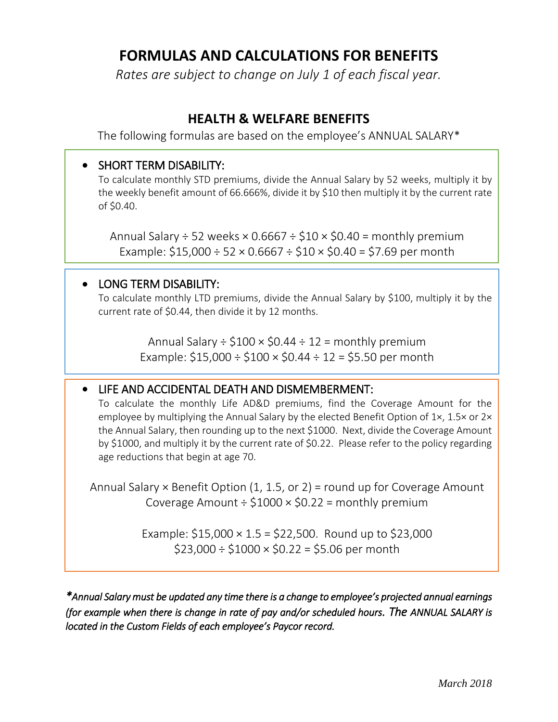# **FORMULAS AND CALCULATIONS FOR BENEFITS**

*Rates are subject to change on July 1 of each fiscal year.*

## **HEALTH & WELFARE BENEFITS**

The following formulas are based on the employee's ANNUAL SALARY\*

## • SHORT TERM DISABILITY:

To calculate monthly STD premiums, divide the Annual Salary by 52 weeks, multiply it by the weekly benefit amount of 66.666%, divide it by \$10 then multiply it by the current rate of \$0.40.

Annual Salary  $\div$  52 weeks  $\times$  0.6667  $\div$  \$10  $\times$  \$0.40 = monthly premium Example:  $$15,000 \div 52 \times 0.6667 \div $10 \times $0.40 = $7.69$  per month

I

#### • LONG TERM DISABILITY:

To calculate monthly LTD premiums, divide the Annual Salary by \$100, multiply it by the current rate of \$0.44, then divide it by 12 months.

> Annual Salary  $\div$  \$100  $\times$  \$0.44  $\div$  12 = monthly premium Example:  $$15,000 \div $100 \times $0.44 \div 12 = $5.50$  per month

#### • LIFE AND ACCIDENTAL DEATH AND DISMEMBERMENT:

To calculate the monthly Life AD&D premiums, find the Coverage Amount for the employee by multiplying the Annual Salary by the elected Benefit Option of 1×, 1.5× or 2× the Annual Salary, then rounding up to the next \$1000. Next, divide the Coverage Amount by \$1000, and multiply it by the current rate of \$0.22. Please refer to the policy regarding age reductions that begin at age 70.

Annual Salary  $\times$  Benefit Option (1, 1.5, or 2) = round up for Coverage Amount Coverage Amount  $\div$  \$1000  $\times$  \$0.22 = monthly premium

> Example:  $$15,000 \times 1.5 = $22,500$ . Round up to \$23,000  $$23,000 \div $1000 \times $0.22 = $5.06$  per month

*\*Annual Salary must be updated any time there is a change to employee's projected annual earnings (for example when there is change in rate of pay and/or scheduled hours. The ANNUAL SALARY is located in the Custom Fields of each employee's Paycor record.*